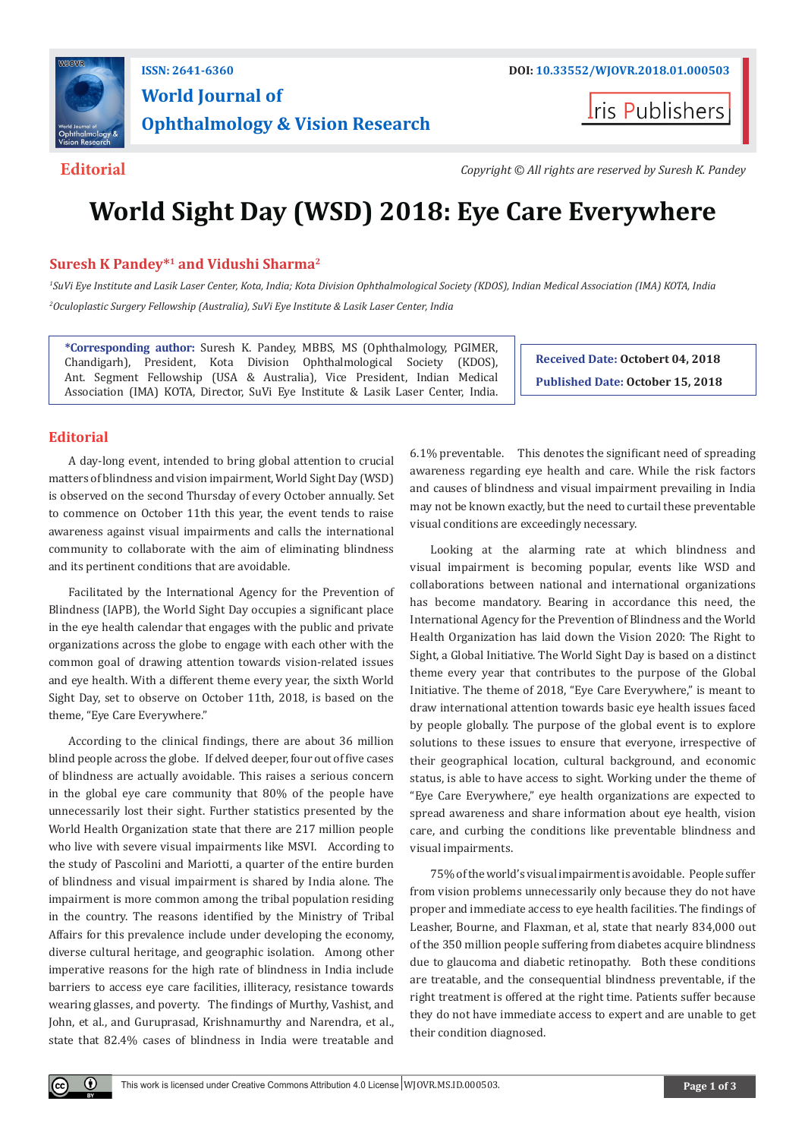

# **World Journal of Ophthalmology & Vision Research**

**Iris Publishers** 

**Editorial** *Copyright © All rights are reserved by Suresh K. Pandey*

## **World Sight Day (WSD) 2018: Eye Care Everywhere**

### **Suresh K Pandey\*1 and Vidushi Sharma2**

*1 SuVi Eye Institute and Lasik Laser Center, Kota, India; Kota Division Ophthalmological Society (KDOS), Indian Medical Association (IMA) KOTA, India 2 Oculoplastic Surgery Fellowship (Australia), SuVi Eye Institute & Lasik Laser Center, India*

**\*Corresponding author:** Suresh K. Pandey, MBBS, MS (Ophthalmology, PGIMER, Chandigarh), President, Kota Division Ophthalmological Society (KDOS), Ant. Segment Fellowship (USA & Australia), Vice President, Indian Medical Association (IMA) KOTA, Director, SuVi Eye Institute & Lasik Laser Center, India.

**Received Date: Octobert 04, 2018 Published Date: October 15, 2018**

#### **Editorial**

A day-long event, intended to bring global attention to crucial matters of blindness and vision impairment, World Sight Day (WSD) is observed on the second Thursday of every October annually. Set to commence on October 11th this year, the event tends to raise awareness against visual impairments and calls the international community to collaborate with the aim of eliminating blindness and its pertinent conditions that are avoidable.

Facilitated by the International Agency for the Prevention of Blindness (IAPB), the World Sight Day occupies a significant place in the eye health calendar that engages with the public and private organizations across the globe to engage with each other with the common goal of drawing attention towards vision-related issues and eye health. With a different theme every year, the sixth World Sight Day, set to observe on October 11th, 2018, is based on the theme, "Eye Care Everywhere."

According to the clinical findings, there are about 36 million blind people across the globe. If delved deeper, four out of five cases of blindness are actually avoidable. This raises a serious concern in the global eye care community that 80% of the people have unnecessarily lost their sight. Further statistics presented by the World Health Organization state that there are 217 million people who live with severe visual impairments like MSVI. According to the study of Pascolini and Mariotti, a quarter of the entire burden of blindness and visual impairment is shared by India alone. The impairment is more common among the tribal population residing in the country. The reasons identified by the Ministry of Tribal Affairs for this prevalence include under developing the economy, diverse cultural heritage, and geographic isolation. Among other imperative reasons for the high rate of blindness in India include barriers to access eye care facilities, illiteracy, resistance towards wearing glasses, and poverty. The findings of Murthy, Vashist, and John, et al., and Guruprasad, Krishnamurthy and Narendra, et al., state that 82.4% cases of blindness in India were treatable and

6.1% preventable. This denotes the significant need of spreading awareness regarding eye health and care. While the risk factors and causes of blindness and visual impairment prevailing in India may not be known exactly, but the need to curtail these preventable visual conditions are exceedingly necessary.

Looking at the alarming rate at which blindness and visual impairment is becoming popular, events like WSD and collaborations between national and international organizations has become mandatory. Bearing in accordance this need, the International Agency for the Prevention of Blindness and the World Health Organization has laid down the Vision 2020: The Right to Sight, a Global Initiative. The World Sight Day is based on a distinct theme every year that contributes to the purpose of the Global Initiative. The theme of 2018, "Eye Care Everywhere," is meant to draw international attention towards basic eye health issues faced by people globally. The purpose of the global event is to explore solutions to these issues to ensure that everyone, irrespective of their geographical location, cultural background, and economic status, is able to have access to sight. Working under the theme of "Eye Care Everywhere," eye health organizations are expected to spread awareness and share information about eye health, vision care, and curbing the conditions like preventable blindness and visual impairments.

75% of the world's visual impairment is avoidable. People suffer from vision problems unnecessarily only because they do not have proper and immediate access to eye health facilities. The findings of Leasher, Bourne, and Flaxman, et al, state that nearly 834,000 out of the 350 million people suffering from diabetes acquire blindness due to glaucoma and diabetic retinopathy. Both these conditions are treatable, and the consequential blindness preventable, if the right treatment is offered at the right time. Patients suffer because they do not have immediate access to expert and are unable to get their condition diagnosed.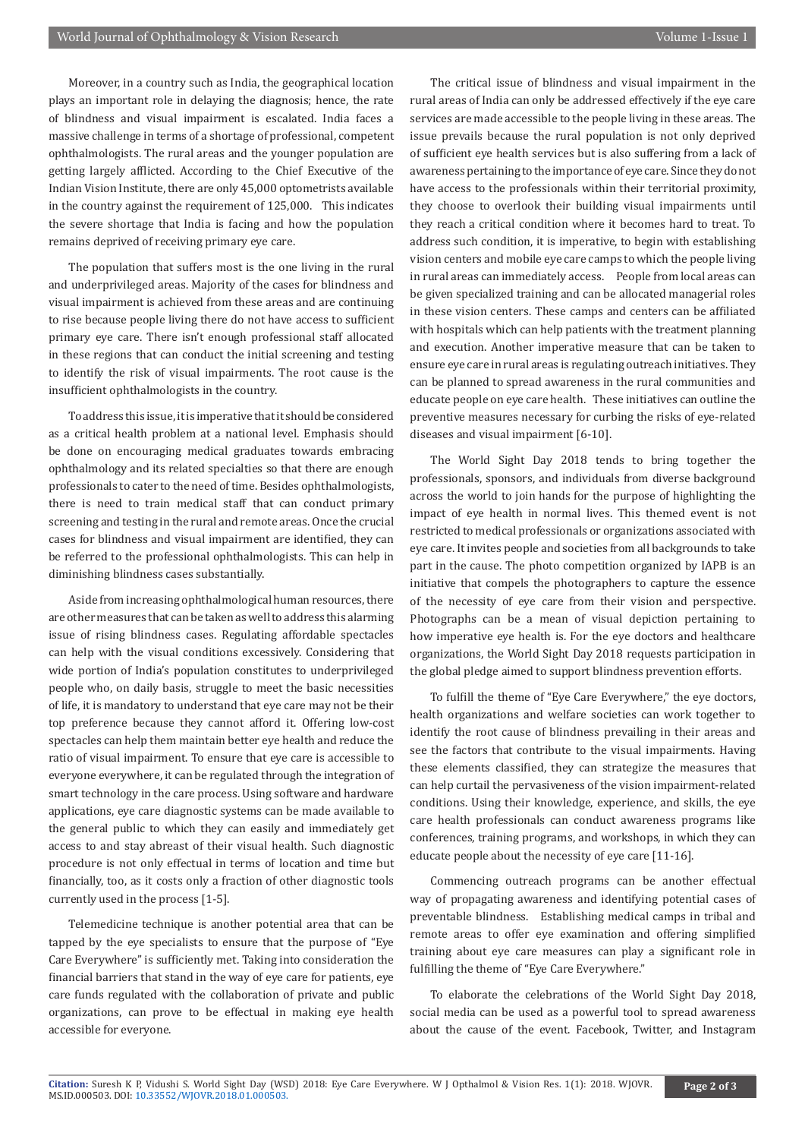Moreover, in a country such as India, the geographical location plays an important role in delaying the diagnosis; hence, the rate of blindness and visual impairment is escalated. India faces a massive challenge in terms of a shortage of professional, competent ophthalmologists. The rural areas and the younger population are getting largely afflicted. According to the Chief Executive of the Indian Vision Institute, there are only 45,000 optometrists available in the country against the requirement of 125,000. This indicates the severe shortage that India is facing and how the population remains deprived of receiving primary eye care.

The population that suffers most is the one living in the rural and underprivileged areas. Majority of the cases for blindness and visual impairment is achieved from these areas and are continuing to rise because people living there do not have access to sufficient primary eye care. There isn't enough professional staff allocated in these regions that can conduct the initial screening and testing to identify the risk of visual impairments. The root cause is the insufficient ophthalmologists in the country.

To address this issue, it is imperative that it should be considered as a critical health problem at a national level. Emphasis should be done on encouraging medical graduates towards embracing ophthalmology and its related specialties so that there are enough professionals to cater to the need of time. Besides ophthalmologists, there is need to train medical staff that can conduct primary screening and testing in the rural and remote areas. Once the crucial cases for blindness and visual impairment are identified, they can be referred to the professional ophthalmologists. This can help in diminishing blindness cases substantially.

Aside from increasing ophthalmological human resources, there are other measures that can be taken as well to address this alarming issue of rising blindness cases. Regulating affordable spectacles can help with the visual conditions excessively. Considering that wide portion of India's population constitutes to underprivileged people who, on daily basis, struggle to meet the basic necessities of life, it is mandatory to understand that eye care may not be their top preference because they cannot afford it. Offering low-cost spectacles can help them maintain better eye health and reduce the ratio of visual impairment. To ensure that eye care is accessible to everyone everywhere, it can be regulated through the integration of smart technology in the care process. Using software and hardware applications, eye care diagnostic systems can be made available to the general public to which they can easily and immediately get access to and stay abreast of their visual health. Such diagnostic procedure is not only effectual in terms of location and time but financially, too, as it costs only a fraction of other diagnostic tools currently used in the process [1-5].

Telemedicine technique is another potential area that can be tapped by the eye specialists to ensure that the purpose of "Eye Care Everywhere" is sufficiently met. Taking into consideration the financial barriers that stand in the way of eye care for patients, eye care funds regulated with the collaboration of private and public organizations, can prove to be effectual in making eye health accessible for everyone.

The critical issue of blindness and visual impairment in the rural areas of India can only be addressed effectively if the eye care services are made accessible to the people living in these areas. The issue prevails because the rural population is not only deprived of sufficient eye health services but is also suffering from a lack of awareness pertaining to the importance of eye care. Since they do not have access to the professionals within their territorial proximity, they choose to overlook their building visual impairments until they reach a critical condition where it becomes hard to treat. To address such condition, it is imperative, to begin with establishing vision centers and mobile eye care camps to which the people living in rural areas can immediately access. People from local areas can be given specialized training and can be allocated managerial roles in these vision centers. These camps and centers can be affiliated with hospitals which can help patients with the treatment planning and execution. Another imperative measure that can be taken to ensure eye care in rural areas is regulating outreach initiatives. They can be planned to spread awareness in the rural communities and educate people on eye care health. These initiatives can outline the preventive measures necessary for curbing the risks of eye-related diseases and visual impairment [6-10].

The World Sight Day 2018 tends to bring together the professionals, sponsors, and individuals from diverse background across the world to join hands for the purpose of highlighting the impact of eye health in normal lives. This themed event is not restricted to medical professionals or organizations associated with eye care. It invites people and societies from all backgrounds to take part in the cause. The photo competition organized by IAPB is an initiative that compels the photographers to capture the essence of the necessity of eye care from their vision and perspective. Photographs can be a mean of visual depiction pertaining to how imperative eye health is. For the eye doctors and healthcare organizations, the World Sight Day 2018 requests participation in the global pledge aimed to support blindness prevention efforts.

To fulfill the theme of "Eye Care Everywhere," the eye doctors, health organizations and welfare societies can work together to identify the root cause of blindness prevailing in their areas and see the factors that contribute to the visual impairments. Having these elements classified, they can strategize the measures that can help curtail the pervasiveness of the vision impairment-related conditions. Using their knowledge, experience, and skills, the eye care health professionals can conduct awareness programs like conferences, training programs, and workshops, in which they can educate people about the necessity of eye care [11-16].

Commencing outreach programs can be another effectual way of propagating awareness and identifying potential cases of preventable blindness. Establishing medical camps in tribal and remote areas to offer eye examination and offering simplified training about eye care measures can play a significant role in fulfilling the theme of "Eye Care Everywhere."

To elaborate the celebrations of the World Sight Day 2018, social media can be used as a powerful tool to spread awareness about the cause of the event. Facebook, Twitter, and Instagram